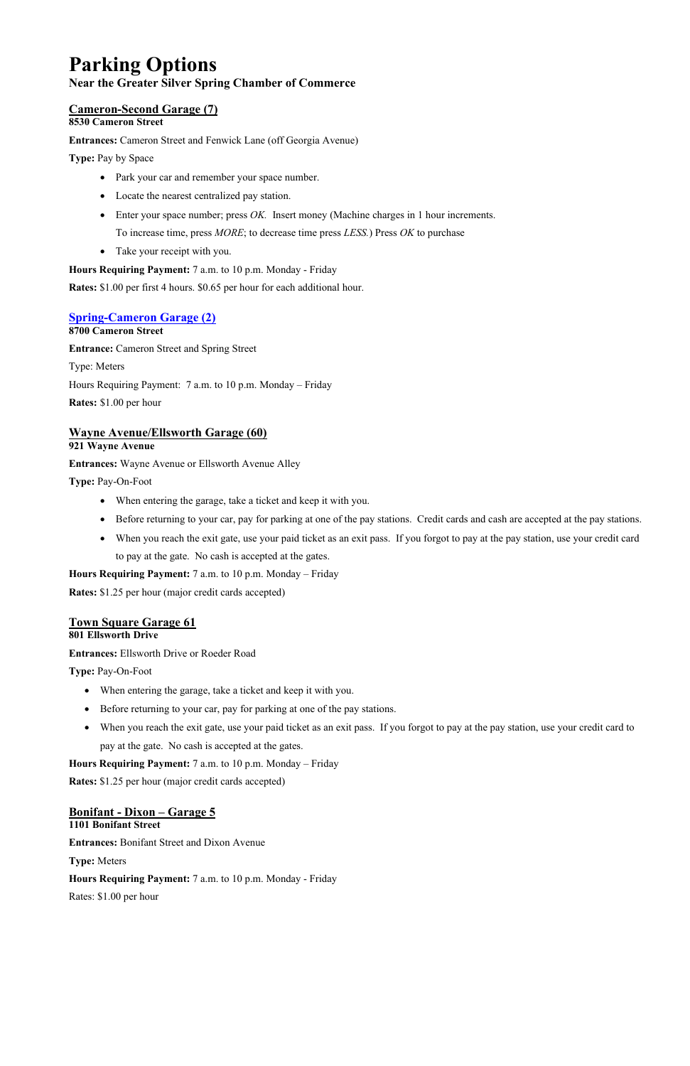# **Parking Options**

#### **Near the Greater Silver Spring Chamber of Commerce**

### **Cameron-Second Garage (7)**

#### **8530 Cameron Street**

**Entrances:** Cameron Street and Fenwick Lane (off Georgia Avenue)

**Type:** Pay by Space

- Park your car and remember your space number.
- Locate the nearest centralized pay station.
- Enter your space number; press *OK*. Insert money (Machine charges in 1 hour increments. To increase time, press *MORE*; to decrease time press *LESS.*) Press *OK* to purchase
- Take your receipt with you.

**Hours Requiring Payment:** 7 a.m. to 10 p.m. Monday - Friday

**Rates:** \$1.00 per first 4 hours. \$0.65 per hour for each additional hour.

#### **[Spring-Cameron Garage \(2\)](https://www.montgomerycountymd.gov/DOT-Parking/Parking-Facilities/SilverSpringPLD.html/)**

**8700 Cameron Street**

**Entrance:** Cameron Street and Spring Street

Type: Meters

Hours Requiring Payment: 7 a.m. to 10 p.m. Monday – Friday

**Rates:** \$1.00 per hour

#### **Wayne Avenue/Ellsworth Garage (60)**

**921 Wayne Avenue**

**Entrances:** Wayne Avenue or Ellsworth Avenue Alley

**Type:** Pay-On-Foot

- When entering the garage, take a ticket and keep it with you.
- Before returning to your car, pay for parking at one of the pay stations. Credit cards and cash are accepted at the pay stations.
- When you reach the exit gate, use your paid ticket as an exit pass. If you forgot to pay at the pay station, use your credit card to pay at the gate. No cash is accepted at the gates.

**Hours Requiring Payment:** 7 a.m. to 10 p.m. Monday – Friday

**Rates:** \$1.25 per hour (major credit cards accepted)

## **Town Square Garage 61**

#### **801 Ellsworth Drive**

**Entrances:** Ellsworth Drive or Roeder Road

**Type:** Pay-On-Foot

- When entering the garage, take a ticket and keep it with you.
- Before returning to your car, pay for parking at one of the pay stations.
- When you reach the exit gate, use your paid ticket as an exit pass. If you forgot to pay at the pay station, use your credit card to pay at the gate. No cash is accepted at the gates.

**Hours Requiring Payment:** 7 a.m. to 10 p.m. Monday – Friday

**Rates:** \$1.25 per hour (major credit cards accepted)

#### **Bonifant - Dixon – Garage 5 1101 Bonifant Street**

**Entrances:** Bonifant Street and Dixon Avenue

**Type:** Meters

**Hours Requiring Payment:** 7 a.m. to 10 p.m. Monday - Friday

Rates: \$1.00 per hour